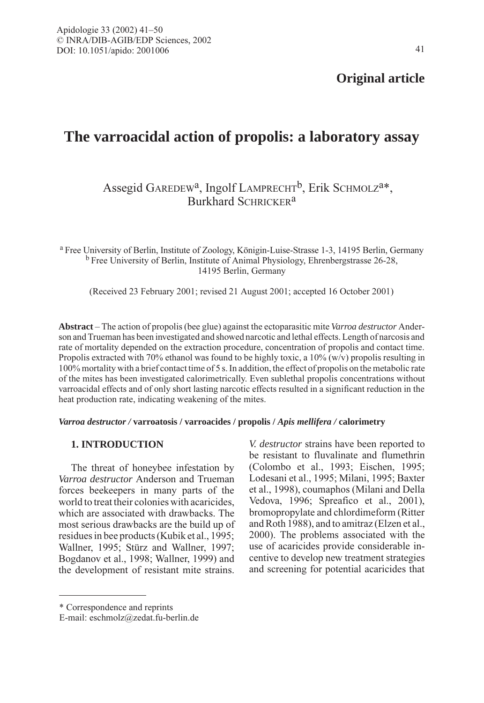## **Original article**

# **The varroacidal action of propolis: a laboratory assay**

## Assegid GAREDEW<sup>a</sup>, Ingolf LAMPRECHT<sup>b</sup>, Erik SCHMOLZ<sup>a\*</sup>, Burkhard SCHRICKER<sup>a</sup>

<sup>a</sup> Free University of Berlin, Institute of Zoology, Königin-Luise-Strasse 1-3, 14195 Berlin, Germany <sup>b</sup> Free University of Berlin, Institute of Animal Physiology, Ehrenbergstrasse 26-28, 14195 Berlin, Germany

(Received 23 February 2001; revised 21 August 2001; accepted 16 October 2001)

**Abstract** – The action of propolis (bee glue) against the ectoparasitic mite *Varroa destructor* Anderson and Trueman has been investigated and showed narcotic and lethal effects. Length of narcosis and rate of mortality depended on the extraction procedure, concentration of propolis and contact time. Propolis extracted with 70% ethanol was found to be highly toxic, a  $10\%$  (w/v) propolis resulting in 100% mortality with a brief contact time of 5 s. In addition, the effect of propolis on the metabolic rate of the mites has been investigated calorimetrically. Even sublethal propolis concentrations without varroacidal effects and of only short lasting narcotic effects resulted in a significant reduction in the heat production rate, indicating weakening of the mites.

#### *Varroa destructor /* **varroatosis / varroacides / propolis /** *Apis mellifera /* **calorimetry**

## **1. INTRODUCTION**

The threat of honeybee infestation by *Varroa destructor* Anderson and Trueman forces beekeepers in many parts of the world to treat their colonies with acaricides, which are associated with drawbacks. The most serious drawbacks are the build up of residues in bee products (Kubik et al., 1995; Wallner, 1995; Stürz and Wallner, 1997; Bogdanov et al., 1998; Wallner, 1999) and the development of resistant mite strains.

*V. destructor* strains have been reported to be resistant to fluvalinate and flumethrin (Colombo et al., 1993; Eischen, 1995; Lodesani et al., 1995; Milani, 1995; Baxter et al., 1998), coumaphos (Milani and Della Vedova, 1996; Spreafico et al., 2001), bromopropylate and chlordimeform (Ritter and Roth 1988), and to amitraz (Elzen et al., 2000). The problems associated with the use of acaricides provide considerable incentive to develop new treatment strategies and screening for potential acaricides that

<sup>\*</sup> Correspondence and reprints

E-mail: eschmolz@zedat.fu-berlin.de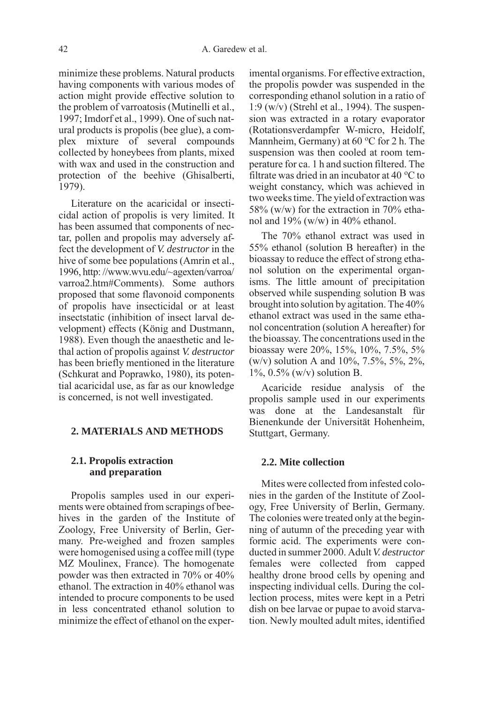minimize these problems. Natural products having components with various modes of action might provide effective solution to the problem of varroatosis (Mutinelli et al., 1997; Imdorf et al., 1999). One of such natural products is propolis (bee glue), a complex mixture of several compounds collected by honeybees from plants, mixed with wax and used in the construction and protection of the beehive (Ghisalberti, 1979).

Literature on the acaricidal or insecticidal action of propolis is very limited. It has been assumed that components of nectar, pollen and propolis may adversely affect the development of *V. destructor* in the hive of some bee populations (Amrin et al., 1996, http: //www.wvu.edu/~agexten/varroa/ varroa2.htm#Comments). Some authors proposed that some flavonoid components of propolis have insecticidal or at least insectstatic (inhibition of insect larval development) effects (König and Dustmann, 1988). Even though the anaesthetic and lethal action of propolis against *V. destructor* has been briefly mentioned in the literature (Schkurat and Poprawko, 1980), its potential acaricidal use, as far as our knowledge is concerned, is not well investigated.

#### **2. MATERIALS AND METHODS**

#### **2.1. Propolis extraction and preparation**

Propolis samples used in our experiments were obtained from scrapings of beehives in the garden of the Institute of Zoology, Free University of Berlin, Germany. Pre-weighed and frozen samples were homogenised using a coffee mill (type MZ Moulinex, France). The homogenate powder was then extracted in 70% or 40% ethanol. The extraction in 40% ethanol was intended to procure components to be used in less concentrated ethanol solution to minimize the effect of ethanol on the experimental organisms. For effective extraction, the propolis powder was suspended in the corresponding ethanol solution in a ratio of 1:9 (w/v) (Strehl et al., 1994). The suspension was extracted in a rotary evaporator (Rotationsverdampfer W-micro, Heidolf, Mannheim, Germany) at  $60^{\circ}$ C for 2 h. The suspension was then cooled at room temperature for ca. 1 h and suction filtered. The filtrate was dried in an incubator at 40  $\rm{^{\circ}C}$  to weight constancy, which was achieved in two weeks time. The yield of extraction was 58% (w/w) for the extraction in 70% ethanol and 19% (w/w) in 40% ethanol.

The 70% ethanol extract was used in 55% ethanol (solution B hereafter) in the bioassay to reduce the effect of strong ethanol solution on the experimental organisms. The little amount of precipitation observed while suspending solution B was brought into solution by agitation. The 40% ethanol extract was used in the same ethanol concentration (solution A hereafter) for the bioassay. The concentrations used in the bioassay were 20%, 15%, 10%, 7.5%, 5% (w/v) solution A and  $10\%, 7.5\%, 5\%, 2\%$ ,  $1\%$ , 0.5% (w/v) solution B.

Acaricide residue analysis of the propolis sample used in our experiments was done at the Landesanstalt für Bienenkunde der Universität Hohenheim, Stuttgart, Germany.

#### **2.2. Mite collection**

Mites were collected from infested colonies in the garden of the Institute of Zoology, Free University of Berlin, Germany. The colonies were treated only at the beginning of autumn of the preceding year with formic acid. The experiments were conducted in summer 2000. Adult*V. destructor* females were collected from capped healthy drone brood cells by opening and inspecting individual cells. During the collection process, mites were kept in a Petri dish on bee larvae or pupae to avoid starvation. Newly moulted adult mites, identified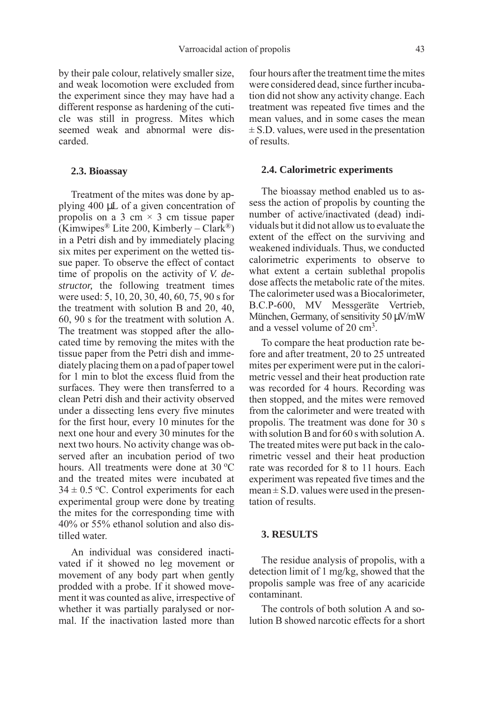by their pale colour, relatively smaller size, and weak locomotion were excluded from the experiment since they may have had a different response as hardening of the cuticle was still in progress. Mites which seemed weak and abnormal were discarded.

#### **2.3. Bioassay**

Treatment of the mites was done by applying 400 µL of a given concentration of propolis on a 3 cm  $\times$  3 cm tissue paper (Kimwipes<sup>®</sup> Lite 200, Kimberly – Clark<sup>®</sup>) in a Petri dish and by immediately placing six mites per experiment on the wetted tissue paper. To observe the effect of contact time of propolis on the activity of *V. destructor,* the following treatment times were used: 5, 10, 20, 30, 40, 60, 75, 90 s for the treatment with solution B and 20, 40, 60, 90 s for the treatment with solution A. The treatment was stopped after the allocated time by removing the mites with the tissue paper from the Petri dish and immediately placing them on a pad of paper towel for 1 min to blot the excess fluid from the surfaces. They were then transferred to a clean Petri dish and their activity observed under a dissecting lens every five minutes for the first hour, every 10 minutes for the next one hour and every 30 minutes for the next two hours. No activity change was observed after an incubation period of two hours. All treatments were done at  $30\,^{\circ}\mathrm{C}$ and the treated mites were incubated at  $34 \pm 0.5$  °C. Control experiments for each experimental group were done by treating the mites for the corresponding time with 40% or 55% ethanol solution and also distilled water.

An individual was considered inactivated if it showed no leg movement or movement of any body part when gently prodded with a probe. If it showed movement it was counted as alive, irrespective of whether it was partially paralysed or normal. If the inactivation lasted more than

four hours after the treatment time the mites were considered dead, since further incubation did not show any activity change. Each treatment was repeated five times and the mean values, and in some cases the mean  $\pm$  S.D. values, were used in the presentation of results.

#### **2.4. Calorimetric experiments**

The bioassay method enabled us to assess the action of propolis by counting the number of active/inactivated (dead) individuals but it did not allow us to evaluate the extent of the effect on the surviving and weakened individuals. Thus, we conducted calorimetric experiments to observe to what extent a certain sublethal propolis dose affects the metabolic rate of the mites. The calorimeter used was a Biocalorimeter, B.C.P-600, MV Messgeräte Vertrieb, München, Germany, of sensitivity 50  $\mu$ V/mW and a vessel volume of 20 cm<sup>3</sup>.

To compare the heat production rate before and after treatment, 20 to 25 untreated mites per experiment were put in the calorimetric vessel and their heat production rate was recorded for 4 hours. Recording was then stopped, and the mites were removed from the calorimeter and were treated with propolis. The treatment was done for 30 s with solution B and for 60 s with solution A. The treated mites were put back in the calorimetric vessel and their heat production rate was recorded for 8 to 11 hours. Each experiment was repeated five times and the mean  $\pm$  S.D. values were used in the presentation of results.

### **3. RESULTS**

The residue analysis of propolis, with a detection limit of 1 mg/kg, showed that the propolis sample was free of any acaricide contaminant.

The controls of both solution A and solution B showed narcotic effects for a short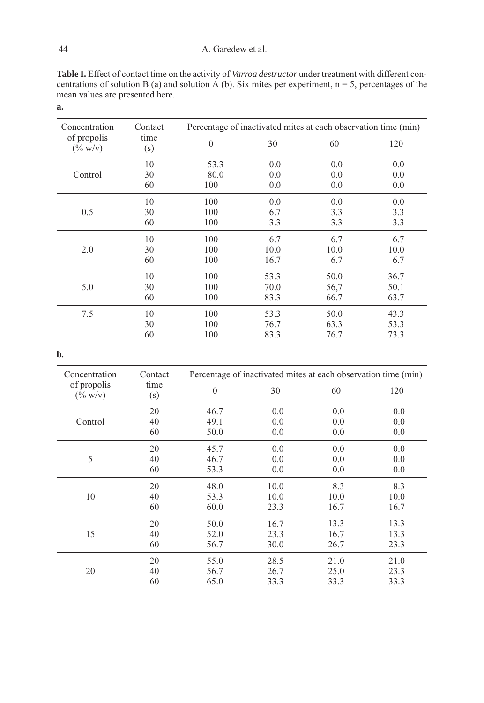**Table I.** Effect of contact time on the activity of *Varroa destructor* under treatment with different concentrations of solution B (a) and solution A (b). Six mites per experiment,  $n = 5$ , percentages of the mean values are presented here.

| Concentration<br>of propolis<br>$(\% w/v)$ | Contact<br>time<br>(s) | Percentage of inactivated mites at each observation time (min) |      |      |      |
|--------------------------------------------|------------------------|----------------------------------------------------------------|------|------|------|
|                                            |                        | $\theta$                                                       | 30   | 60   | 120  |
| Control                                    | 10                     | 53.3                                                           | 0.0  | 0.0  | 0.0  |
|                                            | 30                     | 80.0                                                           | 0.0  | 0.0  | 0.0  |
|                                            | 60                     | 100                                                            | 0.0  | 0.0  | 0.0  |
| 0.5                                        | 10                     | 100                                                            | 0.0  | 0.0  | 0.0  |
|                                            | 30                     | 100                                                            | 6.7  | 3.3  | 3.3  |
|                                            | 60                     | 100                                                            | 3.3  | 3.3  | 3.3  |
| 2.0                                        | 10                     | 100                                                            | 6.7  | 6.7  | 6.7  |
|                                            | 30                     | 100                                                            | 10.0 | 10.0 | 10.0 |
|                                            | 60                     | 100                                                            | 16.7 | 6.7  | 6.7  |
| 5.0                                        | 10                     | 100                                                            | 53.3 | 50.0 | 36.7 |
|                                            | 30                     | 100                                                            | 70.0 | 56,7 | 50.1 |
|                                            | 60                     | 100                                                            | 83.3 | 66.7 | 63.7 |
| 7.5                                        | 10                     | 100                                                            | 53.3 | 50.0 | 43.3 |
|                                            | 30                     | 100                                                            | 76.7 | 63.3 | 53.3 |
|                                            | 60                     | 100                                                            | 83.3 | 76.7 | 73.3 |

**b.**

| Concentration<br>of propolis<br>$(\% w/v)$ | Contact<br>time<br>(s) | Percentage of inactivated mites at each observation time (min) |      |      |      |
|--------------------------------------------|------------------------|----------------------------------------------------------------|------|------|------|
|                                            |                        | $\theta$                                                       | 30   | 60   | 120  |
| Control                                    | 20                     | 46.7                                                           | 0.0  | 0.0  | 0.0  |
|                                            | 40                     | 49.1                                                           | 0.0  | 0.0  | 0.0  |
|                                            | 60                     | 50.0                                                           | 0.0  | 0.0  | 0.0  |
| 5                                          | 20                     | 45.7                                                           | 0.0  | 0.0  | 0.0  |
|                                            | 40                     | 46.7                                                           | 0.0  | 0.0  | 0.0  |
|                                            | 60                     | 53.3                                                           | 0.0  | 0.0  | 0.0  |
| 10                                         | 20                     | 48.0                                                           | 10.0 | 8.3  | 8.3  |
|                                            | 40                     | 53.3                                                           | 10.0 | 10.0 | 10.0 |
|                                            | 60                     | 60.0                                                           | 23.3 | 16.7 | 16.7 |
| 15                                         | 20                     | 50.0                                                           | 16.7 | 13.3 | 13.3 |
|                                            | 40                     | 52.0                                                           | 23.3 | 16.7 | 13.3 |
|                                            | 60                     | 56.7                                                           | 30.0 | 26.7 | 23.3 |
| 20                                         | 20                     | 55.0                                                           | 28.5 | 21.0 | 21.0 |
|                                            | 40                     | 56.7                                                           | 26.7 | 25.0 | 23.3 |
|                                            | 60                     | 65.0                                                           | 33.3 | 33.3 | 33.3 |

**a.**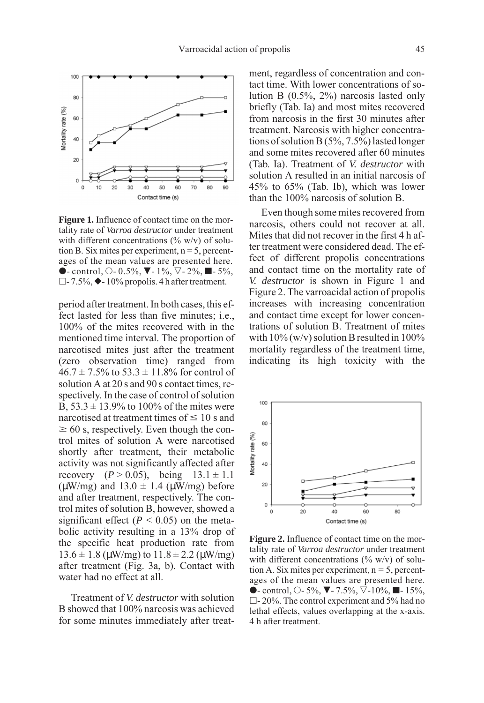

**Figure 1.** Influence of contact time on the mortality rate of *Varroa destructor* under treatment with different concentrations ( $\%$  w/v) of solution B. Six mites per experiment,  $n = 5$ , percentages of the mean values are presented here.  $\bullet$ - control,  $\circ$  - 0.5%,  $\nabla$  - 1%,  $\nabla$  - 2%,  $\blacksquare$  - 5%,  $\Box$ - 7.5%,  $\blacklozenge$ - 10% propolis. 4 h after treatment.

period after treatment. In both cases, this effect lasted for less than five minutes; i.e., 100% of the mites recovered with in the mentioned time interval. The proportion of narcotised mites just after the treatment (zero observation time) ranged from  $46.7 \pm 7.5\%$  to  $53.3 \pm 11.8\%$  for control of solution A at 20 s and 90 s contact times, respectively. In the case of control of solution B,  $53.3 \pm 13.9\%$  to 100% of the mites were narcotised at treatment times of  $\leq 10$  s and  $\geq 60$  s, respectively. Even though the control mites of solution A were narcotised shortly after treatment, their metabolic activity was not significantly affected after recovery  $(P > 0.05)$ , being  $13.1 \pm 1.1$ ( $\mu$ W/mg) and 13.0  $\pm$  1.4 ( $\mu$ W/mg) before and after treatment, respectively. The control mites of solution B, however, showed a significant effect ( $P < 0.05$ ) on the metabolic activity resulting in a 13% drop of the specific heat production rate from  $13.6 \pm 1.8$  (µW/mg) to  $11.8 \pm 2.2$  (µW/mg) after treatment (Fig. 3a, b). Contact with water had no effect at all.

Treatment of *V. destructor* with solution B showed that 100% narcosis was achieved for some minutes immediately after treatment, regardless of concentration and contact time. With lower concentrations of solution B (0.5%, 2%) narcosis lasted only briefly (Tab. Ia) and most mites recovered from narcosis in the first 30 minutes after treatment. Narcosis with higher concentrations of solution B (5%, 7.5%) lasted longer and some mites recovered after 60 minutes (Tab. Ia). Treatment of *V. destructor* with solution A resulted in an initial narcosis of 45% to 65% (Tab. Ib), which was lower than the 100% narcosis of solution B.

Even though some mites recovered from narcosis, others could not recover at all. Mites that did not recover in the first 4 h after treatment were considered dead. The effect of different propolis concentrations and contact time on the mortality rate of *V. destructor* is shown in Figure 1 and Figure 2. The varroacidal action of propolis increases with increasing concentration and contact time except for lower concentrations of solution B. Treatment of mites with  $10\%$  (w/v) solution B resulted in  $100\%$ mortality regardless of the treatment time, indicating its high toxicity with the



**Figure 2.** Influence of contact time on the mortality rate of *Varroa destructor* under treatment with different concentrations ( $\%$  w/v) of solution A. Six mites per experiment,  $n = 5$ , percentages of the mean values are presented here.  $\bullet$  control,  $\circ$  - 5%,  $\mathbf{\nabla}$  - 7.5%,  $\nabla$  - 10%,  $\mathbf{I}$  - 15%,  $\square$ - 20%. The control experiment and 5% had no lethal effects, values overlapping at the x-axis. 4 h after treatment.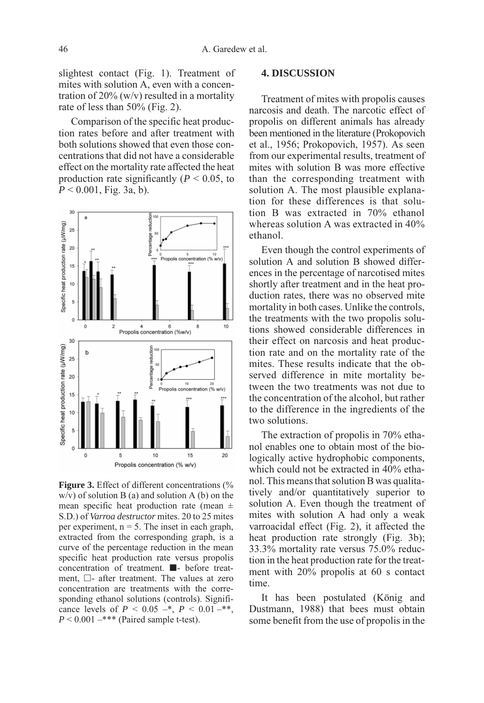slightest contact (Fig. 1). Treatment of mites with solution A, even with a concentration of  $20\%$  (w/v) resulted in a mortality rate of less than 50% (Fig. 2).

Comparison of the specific heat production rates before and after treatment with both solutions showed that even those concentrations that did not have a considerable effect on the mortality rate affected the heat production rate significantly ( $P < 0.05$ , to  $P < 0.001$ , Fig. 3a, b).



Figure 3. Effect of different concentrations (%)  $w/v$ ) of solution B (a) and solution A (b) on the mean specific heat production rate (mean  $\pm$ S.D.) of *Varroa destructor* mites. 20 to 25 mites per experiment,  $n = 5$ . The inset in each graph, extracted from the corresponding graph, is a curve of the percentage reduction in the mean specific heat production rate versus propolis concentration of treatment.  $\blacksquare$ - before treatment,  $\Box$ - after treatment. The values at zero concentration are treatments with the corresponding ethanol solutions (controls). Significance levels of  $P < 0.05 - K$ ,  $P < 0.01 - K$ ,  $P < 0.001$  –\*\*\* (Paired sample t-test).

## **4. DISCUSSION**

Treatment of mites with propolis causes narcosis and death. The narcotic effect of propolis on different animals has already been mentioned in the literature (Prokopovich et al., 1956; Prokopovich, 1957). As seen from our experimental results, treatment of mites with solution B was more effective than the corresponding treatment with solution A. The most plausible explanation for these differences is that solution B was extracted in 70% ethanol whereas solution A was extracted in 40% ethanol.

Even though the control experiments of solution A and solution B showed differences in the percentage of narcotised mites shortly after treatment and in the heat production rates, there was no observed mite mortality in both cases. Unlike the controls, the treatments with the two propolis solutions showed considerable differences in their effect on narcosis and heat production rate and on the mortality rate of the mites. These results indicate that the observed difference in mite mortality between the two treatments was not due to the concentration of the alcohol, but rather to the difference in the ingredients of the two solutions.

The extraction of propolis in 70% ethanol enables one to obtain most of the biologically active hydrophobic components, which could not be extracted in 40% ethanol. This means that solution B was qualitatively and/or quantitatively superior to solution A. Even though the treatment of mites with solution A had only a weak varroacidal effect (Fig. 2), it affected the heat production rate strongly (Fig. 3b); 33.3% mortality rate versus 75.0% reduction in the heat production rate for the treatment with 20% propolis at 60 s contact time.

It has been postulated (König and Dustmann, 1988) that bees must obtain some benefit from the use of propolis in the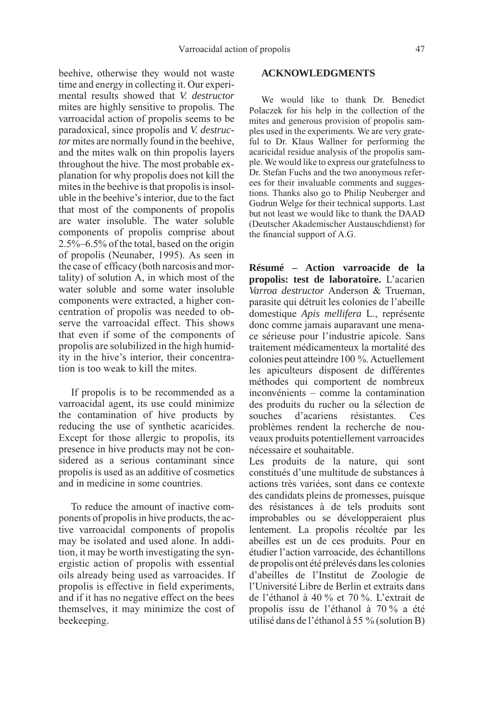beehive, otherwise they would not waste time and energy in collecting it. Our experimental results showed that *V. destructor* mites are highly sensitive to propolis. The varroacidal action of propolis seems to be paradoxical, since propolis and *V. destructor* mites are normally found in the beehive, and the mites walk on thin propolis layers throughout the hive. The most probable explanation for why propolis does not kill the mites in the beehive is that propolis is insoluble in the beehive's interior, due to the fact that most of the components of propolis are water insoluble. The water soluble components of propolis comprise about 2.5%–6.5% of the total, based on the origin of propolis (Neunaber, 1995). As seen in the case of efficacy (both narcosis and mortality) of solution A, in which most of the water soluble and some water insoluble components were extracted, a higher concentration of propolis was needed to observe the varroacidal effect. This shows that even if some of the components of propolis are solubilized in the high humidity in the hive's interior, their concentration is too weak to kill the mites.

If propolis is to be recommended as a varroacidal agent, its use could minimize the contamination of hive products by reducing the use of synthetic acaricides. Except for those allergic to propolis, its presence in hive products may not be considered as a serious contaminant since propolis is used as an additive of cosmetics and in medicine in some countries.

To reduce the amount of inactive components of propolis in hive products, the active varroacidal components of propolis may be isolated and used alone. In addition, it may be worth investigating the synergistic action of propolis with essential oils already being used as varroacides. If propolis is effective in field experiments, and if it has no negative effect on the bees themselves, it may minimize the cost of beekeeping.

#### **ACKNOWLEDGMENTS**

We would like to thank Dr. Benedict Polaczek for his help in the collection of the mites and generous provision of propolis samples used in the experiments. We are very grateful to Dr. Klaus Wallner for performing the acaricidal residue analysis of the propolis sample. We would like to express our gratefulness to Dr. Stefan Fuchs and the two anonymous referees for their invaluable comments and suggestions. Thanks also go to Philip Neuberger and Gudrun Welge for their technical supports. Last but not least we would like to thank the DAAD (Deutscher Akademischer Austauschdienst) for the financial support of A.G.

**Résumé – Action varroacide de la propolis: test de laboratoire.** L'acarien *Varroa destructor* Anderson & Trueman, parasite qui détruit les colonies de l'abeille domestique *Apis mellifera* L., représente donc comme jamais auparavant une menace sérieuse pour l'industrie apicole. Sans traitement médicamenteux la mortalité des colonies peut atteindre 100 %. Actuellement les apiculteurs disposent de différentes méthodes qui comportent de nombreux inconvénients – comme la contamination des produits du rucher ou la sélection de souches d'acariens résistantes. Ces problèmes rendent la recherche de nouveaux produits potentiellement varroacides nécessaire et souhaitable.

Les produits de la nature, qui sont constitués d'une multitude de substances à actions très variées, sont dans ce contexte des candidats pleins de promesses, puisque des résistances à de tels produits sont improbables ou se développeraient plus lentement. La propolis récoltée par les abeilles est un de ces produits. Pour en étudier l'action varroacide, des échantillons de propolis ont été prélevés dans les colonies d'abeilles de l'Institut de Zoologie de l'Université Libre de Berlin et extraits dans de l'éthanol à 40 % et 70 %. L'extrait de propolis issu de l'éthanol à 70 % a été utilisé dans de l'éthanol à 55 % (solution B)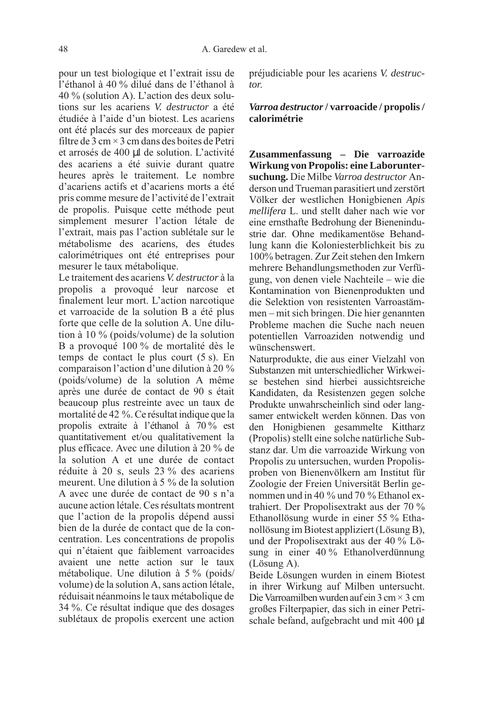pour un test biologique et l'extrait issu de l'éthanol à 40 % dilué dans de l'éthanol à 40 % (solution A). L'action des deux solutions sur les acariens *V. destructor* a été étudiée à l'aide d'un biotest. Les acariens ont été placés sur des morceaux de papier filtre de 3 cm × 3 cm dans des boites de Petri et arrosés de 400 µl de solution. L'activité des acariens a été suivie durant quatre heures après le traitement. Le nombre d'acariens actifs et d'acariens morts a été pris comme mesure de l'activité de l'extrait de propolis. Puisque cette méthode peut simplement mesurer l'action létale de l'extrait, mais pas l'action sublétale sur le métabolisme des acariens, des études calorimétriques ont été entreprises pour mesurer le taux métabolique.

Le traitement des acariens *V. destructor* à la propolis a provoqué leur narcose et finalement leur mort. L'action narcotique et varroacide de la solution B a été plus forte que celle de la solution A. Une dilution à 10 % (poids/volume) de la solution B a provoqué 100 % de mortalité dès le temps de contact le plus court (5 s). En comparaison l'action d'une dilution à 20 % (poids/volume) de la solution A même après une durée de contact de 90 s était beaucoup plus restreinte avec un taux de mortalité de 42 %. Ce résultat indique que la propolis extraite à l'éthanol à 70 % est quantitativement et/ou qualitativement la plus efficace. Avec une dilution à 20 % de la solution A et une durée de contact réduite à 20 s, seuls 23 % des acariens meurent. Une dilution à 5 % de la solution A avec une durée de contact de 90 s n'a aucune action létale. Ces résultats montrent que l'action de la propolis dépend aussi bien de la durée de contact que de la concentration. Les concentrations de propolis qui n'étaient que faiblement varroacides avaient une nette action sur le taux métabolique. Une dilution à 5 % (poids/ volume) de la solution A, sans action létale, réduisait néanmoins le taux métabolique de 34 %. Ce résultat indique que des dosages sublétaux de propolis exercent une action préjudiciable pour les acariens *V. destructor*.

## *Varroa destructor***/ varroacide / propolis / calorimétrie**

**Zusammenfassung – Die varroazide Wirkung von Propolis: eine Laboruntersuchung.** Die Milbe *Varroa destructor* Anderson und Trueman parasitiert und zerstört Völker der westlichen Honigbienen *Apis mellifera* L. und stellt daher nach wie vor eine ernsthafte Bedrohung der Bienenindustrie dar. Ohne medikamentöse Behandlung kann die Koloniesterblichkeit bis zu 100% betragen. Zur Zeit stehen den Imkern mehrere Behandlungsmethoden zur Verfügung, von denen viele Nachteile – wie die Kontamination von Bienenprodukten und die Selektion von resistenten Varroastämmen – mit sich bringen. Die hier genannten Probleme machen die Suche nach neuen potentiellen Varroaziden notwendig und wünschenswert.

Naturprodukte, die aus einer Vielzahl von Substanzen mit unterschiedlicher Wirkweise bestehen sind hierbei aussichtsreiche Kandidaten, da Resistenzen gegen solche Produkte unwahrscheinlich sind oder langsamer entwickelt werden können. Das von den Honigbienen gesammelte Kittharz (Propolis) stellt eine solche natürliche Substanz dar. Um die varroazide Wirkung von Propolis zu untersuchen, wurden Propolisproben von Bienenvölkern am Institut für Zoologie der Freien Universität Berlin genommen und in 40 % und 70 % Ethanol extrahiert. Der Propolisextrakt aus der 70 % Ethanollösung wurde in einer 55 % Ethanollösung im Biotest appliziert (Lösung B), und der Propolisextrakt aus der 40 % Lösung in einer 40 % Ethanolverdünnung (Lösung A).

Beide Lösungen wurden in einem Biotest in ihrer Wirkung auf Milben untersucht. Die Varroamilben wurden auf ein 3 cm × 3 cm großes Filterpapier, das sich in einer Petrischale befand, aufgebracht und mit 400 µl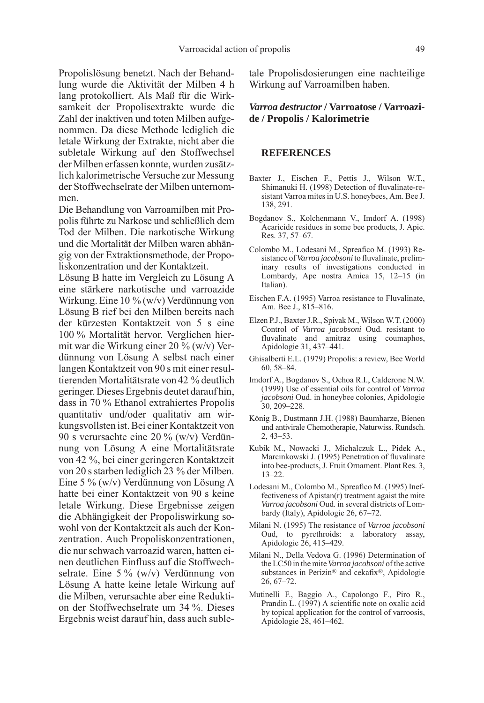Propolislösung benetzt. Nach der Behandlung wurde die Aktivität der Milben 4 h lang protokolliert. Als Maß für die Wirksamkeit der Propolisextrakte wurde die Zahl der inaktiven und toten Milben aufgenommen. Da diese Methode lediglich die letale Wirkung der Extrakte, nicht aber die subletale Wirkung auf den Stoffwechsel der Milben erfassen konnte, wurden zusätzlich kalorimetrische Versuche zur Messung der Stoffwechselrate der Milben unternommen.

Die Behandlung von Varroamilben mit Propolis führte zu Narkose und schließlich dem Tod der Milben. Die narkotische Wirkung und die Mortalität der Milben waren abhängig von der Extraktionsmethode, der Propoliskonzentration und der Kontaktzeit.

Lösung B hatte im Vergleich zu Lösung A eine stärkere narkotische und varroazide Wirkung. Eine 10 % (w/v) Verdünnung von Lösung B rief bei den Milben bereits nach der kürzesten Kontaktzeit von 5 s eine 100 % Mortalität hervor. Verglichen hiermit war die Wirkung einer 20 % (w/v) Verdünnung von Lösung A selbst nach einer langen Kontaktzeit von 90 s mit einer resultierenden Mortalitätsrate von 42 % deutlich geringer. Dieses Ergebnis deutet darauf hin, dass in 70 % Ethanol extrahiertes Propolis quantitativ und/oder qualitativ am wirkungsvollsten ist. Bei einer Kontaktzeit von 90 s verursachte eine 20 % (w/v) Verdünnung von Lösung A eine Mortalitätsrate von 42 %, bei einer geringeren Kontaktzeit von 20 s starben lediglich 23 % der Milben. Eine 5 % (w/v) Verdünnung von Lösung A hatte bei einer Kontaktzeit von 90 s keine letale Wirkung. Diese Ergebnisse zeigen die Abhängigkeit der Propoliswirkung sowohl von der Kontaktzeit als auch der Konzentration. Auch Propoliskonzentrationen, die nur schwach varroazid waren, hatten einen deutlichen Einfluss auf die Stoffwechselrate. Eine 5 % (w/v) Verdünnung von Lösung A hatte keine letale Wirkung auf die Milben, verursachte aber eine Reduktion der Stoffwechselrate um 34 %. Dieses Ergebnis weist darauf hin, dass auch subletale Propolisdosierungen eine nachteilige Wirkung auf Varroamilben haben.

#### *Varroa destructor* **/ Varroatose / Varroazide / Propolis / Kalorimetrie**

#### **REFERENCES**

- Baxter J., Eischen F., Pettis J., Wilson W.T., Shimanuki H. (1998) Detection of fluvalinate-resistant Varroa mites in U.S. honeybees, Am. Bee J. 138, 291.
- Bogdanov S., Kolchenmann V., Imdorf A. (1998) Acaricide residues in some bee products, J. Apic. Res. 37, 57–67.
- Colombo M., Lodesani M., Spreafico M. (1993) Resistance of*Varroa jacobsoni* to fluvalinate, preliminary results of investigations conducted in Lombardy, Ape nostra Amica 15, 12–15 (in Italian).
- Eischen F.A. (1995) Varroa resistance to Fluvalinate, Am. Bee J., 815–816.
- Elzen P.J., Baxter J.R., Spivak M., Wilson W.T. (2000) Control of *Varroa jacobsoni* Oud. resistant to fluvalinate and amitraz using coumaphos, Apidologie 31, 437–441.
- Ghisalberti E.L. (1979) Propolis: a review, Bee World 60, 58–84.
- Imdorf A., Bogdanov S., Ochoa R.I., Calderone N.W. (1999) Use of essential oils for control of *Varroa jacobsoni* Oud. in honeybee colonies, Apidologie 30, 209–228.
- König B., Dustmann J.H. (1988) Baumharze, Bienen und antivirale Chemotherapie, Naturwiss. Rundsch. 2, 43–53.
- Kubik M., Nowacki J., Michalczuk L., Pidek A., Marcinkowski J. (1995) Penetration of fluvalinate into bee-products, J. Fruit Ornament. Plant Res. 3, 13–22.
- Lodesani M., Colombo M., Spreafico M. (1995) Ineffectiveness of Apistan(r) treatment agaist the mite *Varroa jacobsoni* Oud. in several districts of Lombardy (Italy), Apidologie 26, 67–72.
- Milani N. (1995) The resistance of *Varroa jacobsoni* Oud, to pyrethroids: a laboratory assay, Apidologie 26, 415–429.
- Milani N., Della Vedova G. (1996) Determination of the LC50 in the mite *Varroa jacobsoni* of the active substances in Perizin® and cekafix®, Apidologie 26, 67–72.
- Mutinelli F., Baggio A., Capolongo F., Piro R., Prandin L. (1997) A scientific note on oxalic acid by topical application for the control of varroosis, Apidologie 28, 461–462.